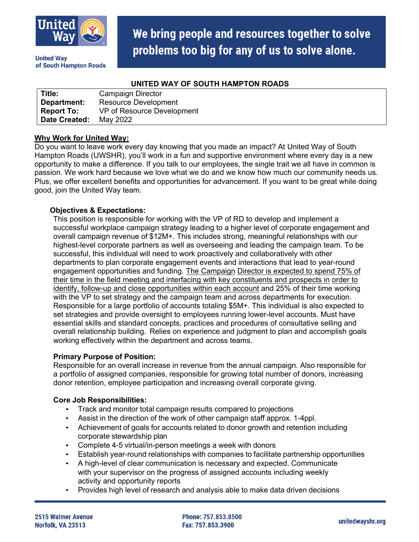

**United Wav** of South Hampton Roads

# We bring people and resources together to solve problems too big for any of us to solve alone.

### **UNITED WAY OF SOUTH HAMPTON ROADS**

| Title:            | Campaign Director           |
|-------------------|-----------------------------|
| Department:       | <b>Resource Development</b> |
| <b>Report To:</b> | VP of Resource Development  |
| Date Created:     | May 2022                    |

### **Why Work for United Way:**

Do you want to leave work every day knowing that you made an impact? At United Way of South Hampton Roads (UWSHR), you'll work in a fun and supportive environment where every day is a new opportunity to make a difference. If you talk to our employees, the single trait we all have in common is passion. We work hard because we love what we do and we know how much our community needs us. Plus, we offer excellent benefits and opportunities for advancement. If you want to be great while doing good, join the United Way team.

## **Objectives & Expectations:**

This position is responsible for working with the VP of RD to develop and implement a successful workplace campaign strategy leading to a higher level of corporate engagement and overall campaign revenue of \$12M+. This includes strong, meaningful relationships with our highest-level corporate partners as well as overseeing and leading the campaign team. To be successful, this individual will need to work proactively and collaboratively with other departments to plan corporate engagement events and interactions that lead to year-round engagement opportunities and funding. The Campaign Director is expected to spend 75% of their time in the field meeting and interfacing with key constituents and prospects in order to identify, follow-up and close opportunities within each account and 25% of their time working with the VP to set strategy and the campaign team and across departments for execution. Responsible for a large portfolio of accounts totaling \$5M+. This individual is also expected to set strategies and provide oversight to employees running lower-level accounts. Must have essential skills and standard concepts, practices and procedures of consultative selling and overall relationship building. Relies on experience and judgment to plan and accomplish goals working effectively within the department and across teams.

#### **Primary Purpose of Position:**

Responsible for an overall increase in revenue from the annual campaign. Also responsible for a portfolio of assigned companies, responsible for growing total number of donors, increasing donor retention, employee participation and increasing overall corporate giving.

#### **Core Job Responsibilities:**

- Track and monitor total campaign results compared to projections
- Assist in the direction of the work of other campaign staff approx. 1-4ppl.
- Achievement of goals for accounts related to donor growth and retention including corporate stewardship plan
- Complete 4-5 virtual/in-person meetings a week with donors
- Establish year-round relationships with companies to facilitate partnership opportunities
- A high-level of clear communication is necessary and expected. Communicate with your supervisor on the progress of assigned accounts including weekly activity and opportunity reports
- Provides high level of research and analysis able to make data driven decisions